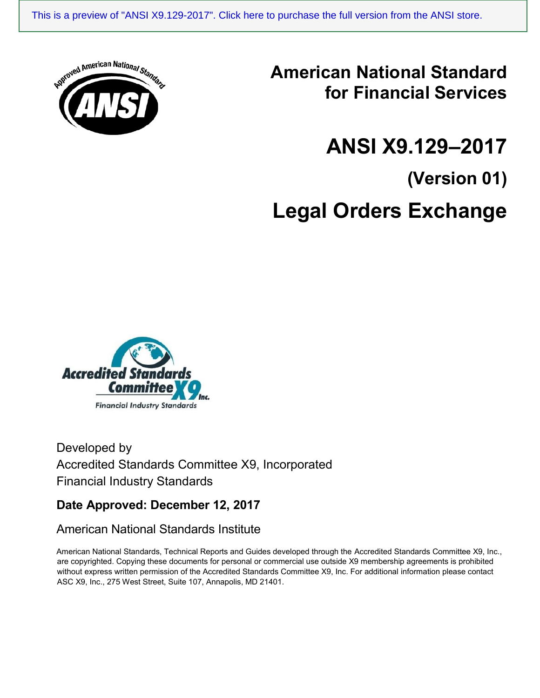

# **American National Standard for Financial Services**

# **[ANSI X9.129–2017](#page-1-0)**

**(Version 01)** 

**Legal Orders Exchange** 



Developed by Accredited Standards Committee X9, Incorporated Financial Industry Standards

## **Date Approved: December 12, 2017**

American National Standards Institute

American National Standards, Technical Reports and Guides developed through the Accredited Standards Committee X9, Inc., are copyrighted. Copying these documents for personal or commercial use outside X9 membership agreements is prohibited without express written permission of the Accredited Standards Committee X9, Inc. For additional information please contact ASC X9, Inc., 275 West Street, Suite 107, Annapolis, MD 21401.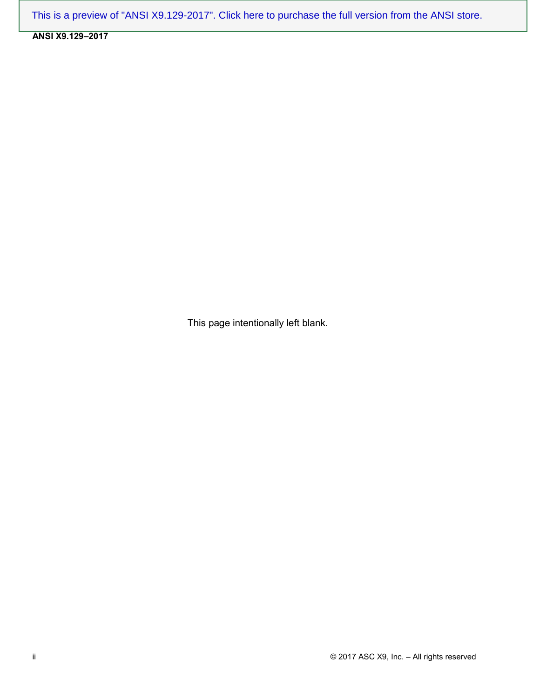[This is a preview of "ANSI X9.129-2017". Click here to purchase the full version from the ANSI store.](https://webstore.ansi.org/Standards/ASCX9/ANSIX91292017?source=preview)

<span id="page-1-0"></span>**ANSI X9.129–2017** 

This page intentionally left blank.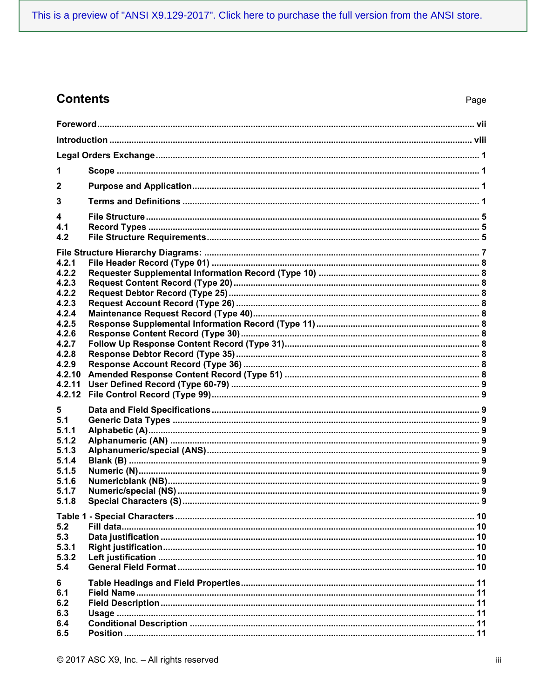## **Contents**

| $\mathbf{2}$                                                                                                        |  |  |
|---------------------------------------------------------------------------------------------------------------------|--|--|
| 3                                                                                                                   |  |  |
| 4<br>4.1<br>4.2                                                                                                     |  |  |
| 4.2.1<br>4.2.2<br>4.2.3<br>4.2.2<br>4.2.3<br>4.2.4<br>4.2.5<br>4.2.6<br>4.2.7<br>4.2.8<br>4.2.9<br>4.2.10<br>4.2.11 |  |  |
| 4.2.12                                                                                                              |  |  |
| 5.<br>5.1<br>5.1.1<br>5.1.2<br>5.1.3<br>5.1.4<br>5.1.5<br>5.1.6<br>5.1.7<br>5.1.8                                   |  |  |
| 5.2<br>5.3<br>5.3.1<br>5.3.2<br>5.4                                                                                 |  |  |
| 6<br>6.1<br>6.2<br>6.3<br>6.4<br>6.5                                                                                |  |  |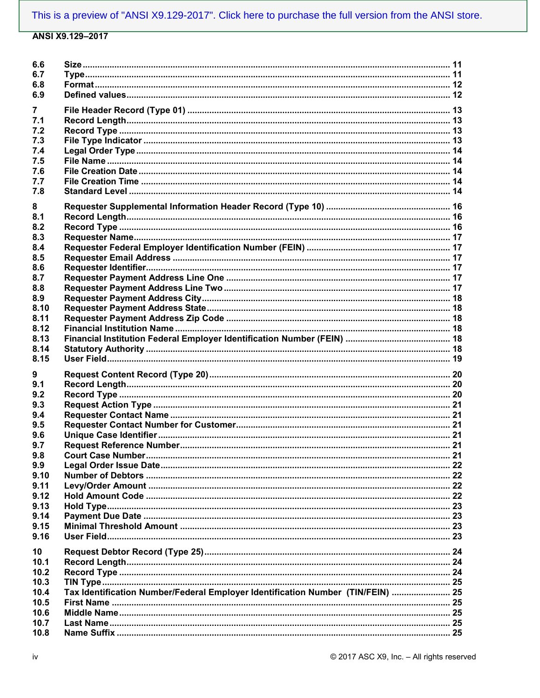## ANSI X9.129-2017

| 6.6      |                                                                                 |  |
|----------|---------------------------------------------------------------------------------|--|
| 6.7      |                                                                                 |  |
| 6.8      |                                                                                 |  |
| 6.9      |                                                                                 |  |
|          |                                                                                 |  |
| 7<br>7.1 |                                                                                 |  |
| 7.2      |                                                                                 |  |
| 7.3      |                                                                                 |  |
| 7.4      |                                                                                 |  |
| 7.5      |                                                                                 |  |
| 7.6      |                                                                                 |  |
| 7.7      |                                                                                 |  |
| 7.8      |                                                                                 |  |
|          |                                                                                 |  |
| 8        |                                                                                 |  |
| 8.1      |                                                                                 |  |
| 8.2      |                                                                                 |  |
| 8.3      |                                                                                 |  |
| 8.4      |                                                                                 |  |
| 8.5      |                                                                                 |  |
| 8.6      |                                                                                 |  |
| 8.7      |                                                                                 |  |
| 8.8      |                                                                                 |  |
| 8.9      |                                                                                 |  |
| 8.10     |                                                                                 |  |
| 8.11     |                                                                                 |  |
| 8.12     |                                                                                 |  |
| 8.13     |                                                                                 |  |
| 8.14     |                                                                                 |  |
| 8.15     |                                                                                 |  |
| 9        |                                                                                 |  |
| 9.1      |                                                                                 |  |
| 9.2      |                                                                                 |  |
| 9.3      |                                                                                 |  |
| 9.4      |                                                                                 |  |
| 9.5      |                                                                                 |  |
| 9.6      |                                                                                 |  |
| 9.7      |                                                                                 |  |
| 9.8      |                                                                                 |  |
| 9.9      |                                                                                 |  |
| 9.10     |                                                                                 |  |
| 9.11     |                                                                                 |  |
| 9.12     |                                                                                 |  |
| 9.13     |                                                                                 |  |
| 9.14     |                                                                                 |  |
| 9.15     |                                                                                 |  |
| 9.16     |                                                                                 |  |
| 10       |                                                                                 |  |
| 10.1     |                                                                                 |  |
| 10.2     |                                                                                 |  |
| 10.3     |                                                                                 |  |
| 10.4     | Tax Identification Number/Federal Employer Identification Number (TIN/FEIN)  25 |  |
| 10.5     |                                                                                 |  |
| 10.6     |                                                                                 |  |
| 10.7     |                                                                                 |  |
| 10.8     |                                                                                 |  |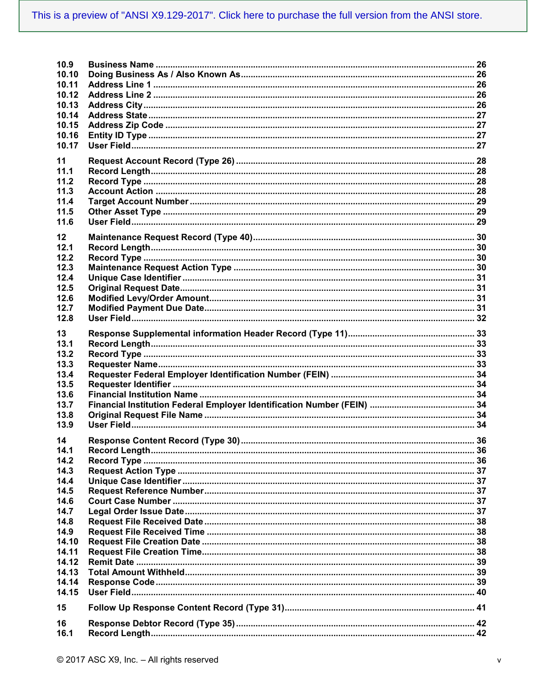| 10.9    |  |
|---------|--|
| 10.10   |  |
| 10.11   |  |
| 10.12   |  |
| 10.13   |  |
| 10.14   |  |
| 10.15   |  |
| 10.16   |  |
| 10.17   |  |
| 11      |  |
| 11.1    |  |
| 11.2    |  |
| 11.3    |  |
| 11.4    |  |
| 11.5    |  |
| 11.6    |  |
|         |  |
| $12 \,$ |  |
| 12.1    |  |
| 12.2    |  |
| 12.3    |  |
| 12.4    |  |
| 12.5    |  |
| 12.6    |  |
| 12.7    |  |
| 12.8    |  |
| 13      |  |
| 13.1    |  |
| 13.2    |  |
| 13.3    |  |
| 13.4    |  |
| 13.5    |  |
| 13.6    |  |
| 13.7    |  |
| 13.8    |  |
| 13.9    |  |
| 14      |  |
| 14.1    |  |
| 14.2    |  |
| 14.3    |  |
| 14.4    |  |
| 14.5    |  |
| 14.6    |  |
| 14.7    |  |
| 14.8    |  |
| 14.9    |  |
| 14.10   |  |
| 14.11   |  |
| 14.12   |  |
| 14.13   |  |
| 14.14   |  |
| 14.15   |  |
|         |  |
| 15      |  |
| 16      |  |
| 16.1    |  |
|         |  |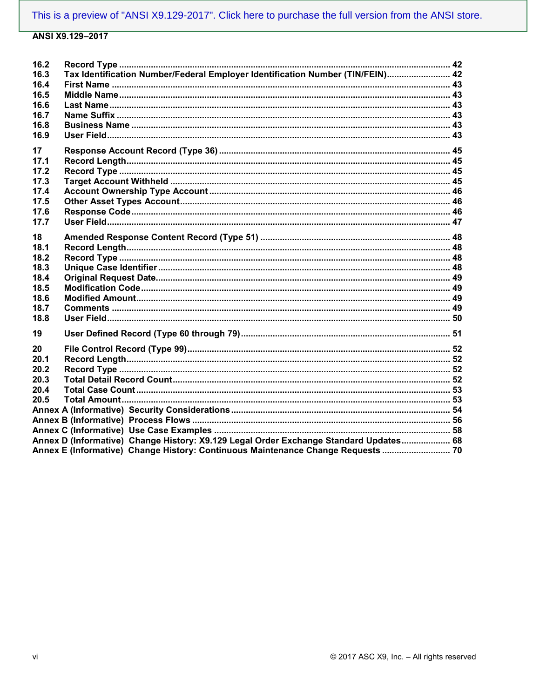## ANSI X9.129-2017

| 16.2 |                                                                                       |  |
|------|---------------------------------------------------------------------------------------|--|
| 16.3 | Tax Identification Number/Federal Employer Identification Number (TIN/FEIN) 42        |  |
| 16.4 |                                                                                       |  |
| 16.5 |                                                                                       |  |
| 16.6 |                                                                                       |  |
| 16.7 |                                                                                       |  |
| 16.8 |                                                                                       |  |
| 16.9 |                                                                                       |  |
| 17   |                                                                                       |  |
| 17.1 |                                                                                       |  |
| 17.2 |                                                                                       |  |
| 17.3 |                                                                                       |  |
| 17.4 |                                                                                       |  |
| 17.5 |                                                                                       |  |
| 17.6 |                                                                                       |  |
| 17.7 |                                                                                       |  |
| 18   |                                                                                       |  |
| 18.1 |                                                                                       |  |
| 18.2 |                                                                                       |  |
| 18.3 |                                                                                       |  |
| 18.4 |                                                                                       |  |
| 18.5 |                                                                                       |  |
| 18.6 |                                                                                       |  |
| 18.7 |                                                                                       |  |
| 18.8 |                                                                                       |  |
| 19   |                                                                                       |  |
| 20   |                                                                                       |  |
| 20.1 |                                                                                       |  |
| 20.2 |                                                                                       |  |
| 20.3 |                                                                                       |  |
| 20.4 |                                                                                       |  |
| 20.5 |                                                                                       |  |
|      |                                                                                       |  |
|      |                                                                                       |  |
|      |                                                                                       |  |
|      | Annex D (Informative) Change History: X9.129 Legal Order Exchange Standard Updates 68 |  |
|      | Annex E (Informative) Change History: Continuous Maintenance Change Requests  70      |  |
|      |                                                                                       |  |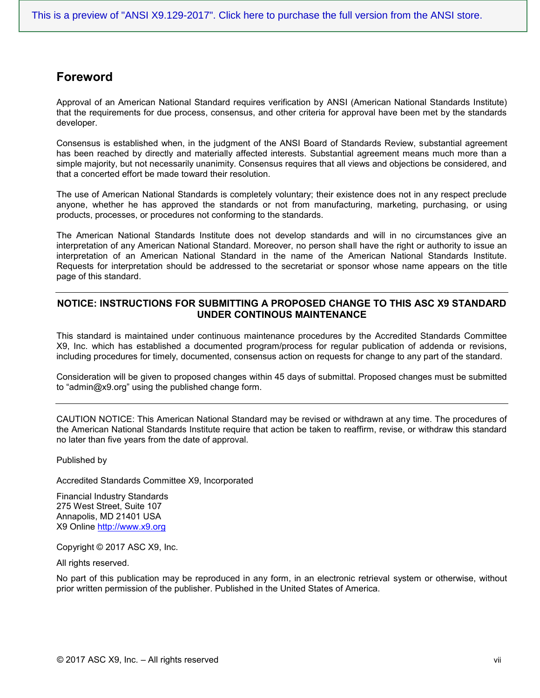## <span id="page-6-0"></span>**Foreword**

Approval of an American National Standard requires verification by ANSI (American National Standards Institute) that the requirements for due process, consensus, and other criteria for approval have been met by the standards developer.

Consensus is established when, in the judgment of the ANSI Board of Standards Review, substantial agreement has been reached by directly and materially affected interests. Substantial agreement means much more than a simple majority, but not necessarily unanimity. Consensus requires that all views and objections be considered, and that a concerted effort be made toward their resolution.

The use of American National Standards is completely voluntary; their existence does not in any respect preclude anyone, whether he has approved the standards or not from manufacturing, marketing, purchasing, or using products, processes, or procedures not conforming to the standards.

The American National Standards Institute does not develop standards and will in no circumstances give an interpretation of any American National Standard. Moreover, no person shall have the right or authority to issue an interpretation of an American National Standard in the name of the American National Standards Institute. Requests for interpretation should be addressed to the secretariat or sponsor whose name appears on the title page of this standard.

#### **NOTICE: INSTRUCTIONS FOR SUBMITTING A PROPOSED CHANGE TO THIS ASC X9 STANDARD UNDER CONTINOUS MAINTENANCE**

This standard is maintained under continuous maintenance procedures by the Accredited Standards Committee X9, Inc. which has established a documented program/process for regular publication of addenda or revisions, including procedures for timely, documented, consensus action on requests for change to any part of the standard.

Consideration will be given to proposed changes within 45 days of submittal. Proposed changes must be submitted to ["admin@x9.org"](mailto:admin@x9.org) using the published change form.

CAUTION NOTICE: This American National Standard may be revised or withdrawn at any time. The procedures of the American National Standards Institute require that action be taken to reaffirm, revise, or withdraw this standard no later than five years from the date of approval.

Published by

Accredited Standards Committee X9, Incorporated

Financial Industry Standards 275 West Street, Suite 107 Annapolis, MD 21401 USA X9 Online [http://www.x9.org](http://www.x9.org/)

Copyright © 2017 ASC X9, Inc.

All rights reserved.

No part of this publication may be reproduced in any form, in an electronic retrieval system or otherwise, without prior written permission of the publisher. Published in the United States of America.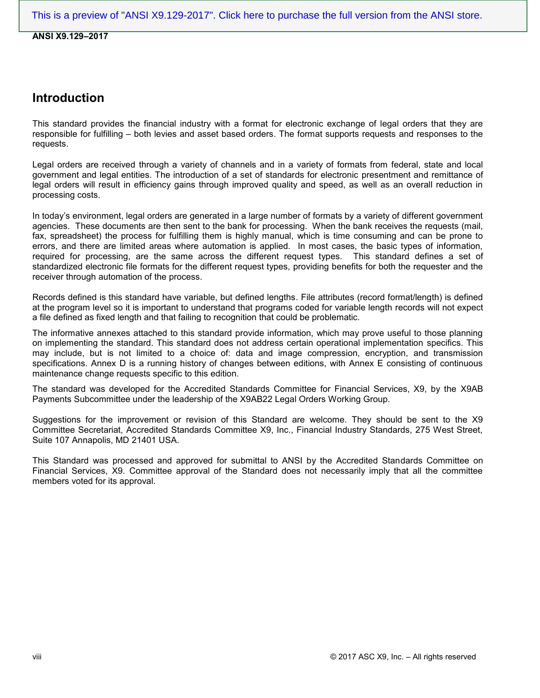<span id="page-7-0"></span>**ANSI X9.129–2017** 

### **Introduction**

This standard provides the financial industry with a format for electronic exchange of legal orders that they are responsible for fulfilling – both levies and asset based orders. The format supports requests and responses to the requests.

Legal orders are received through a variety of channels and in a variety of formats from federal, state and local government and legal entities. The introduction of a set of standards for electronic presentment and remittance of legal orders will result in efficiency gains through improved quality and speed, as well as an overall reduction in processing costs.

In today's environment, legal orders are generated in a large number of formats by a variety of different government agencies. These documents are then sent to the bank for processing. When the bank receives the requests (mail, fax, spreadsheet) the process for fulfilling them is highly manual, which is time consuming and can be prone to errors, and there are limited areas where automation is applied. In most cases, the basic types of information, required for processing, are the same across the different request types. This standard defines a set of standardized electronic file formats for the different request types, providing benefits for both the requester and the receiver through automation of the process.

Records defined is this standard have variable, but defined lengths. File attributes (record format/length) is defined at the program level so it is important to understand that programs coded for variable length records will not expect a file defined as fixed length and that failing to recognition that could be problematic.

The informative annexes attached to this standard provide information, which may prove useful to those planning on implementing the standard. This standard does not address certain operational implementation specifics. This may include, but is not limited to a choice of: data and image compression, encryption, and transmission specifications. Annex D is a running history of changes between editions, with Annex E consisting of continuous maintenance change requests specific to this edition.

The standard was developed for the Accredited Standards Committee for Financial Services, X9, by the X9AB Payments Subcommittee under the leadership of the X9AB22 Legal Orders Working Group.

Suggestions for the improvement or revision of this Standard are welcome. They should be sent to the X9 Committee Secretariat, Accredited Standards Committee X9, Inc., Financial Industry Standards, 275 West Street, Suite 107 Annapolis, MD 21401 USA.

This Standard was processed and approved for submittal to ANSI by the Accredited Standards Committee on Financial Services, X9. Committee approval of the Standard does not necessarily imply that all the committee members voted for its approval.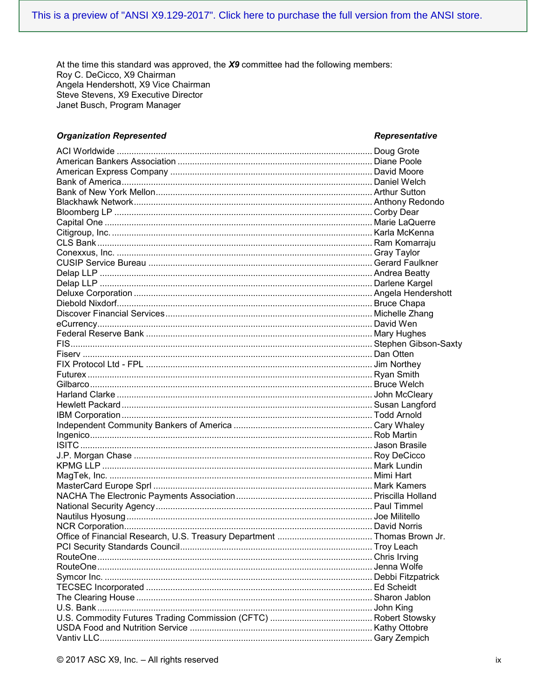At the time this standard was approved, the X9 committee had the following members: Roy C. DeCicco, X9 Chairman<br>Angela Hendershott, X9 Vice Chairman Steve Stevens, X9 Executive Director Janet Busch, Program Manager

#### **Organization Represented**

#### **Representative**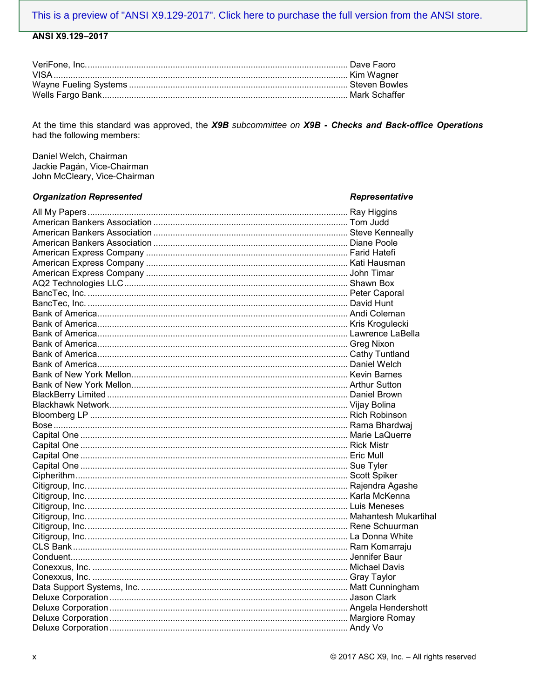This is a preview of "ANSI X9.129-2017". Click here to purchase the full version from the ANSI store.

#### ANSI X9.129-2017

At the time this standard was approved, the X9B subcommittee on X9B - Checks and Back-office Operations had the following members:

Daniel Welch, Chairman Jackie Pagán, Vice-Chairman John McCleary, Vice-Chairman

#### **Organization Represented**

**Representative**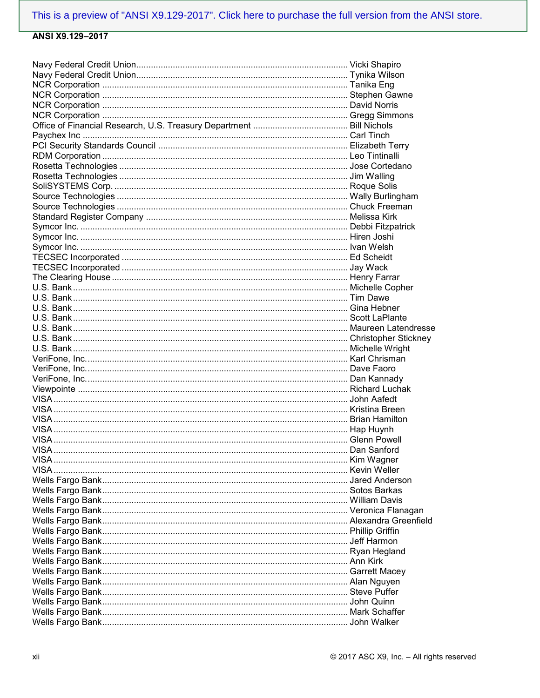## ANSI X9.129-2017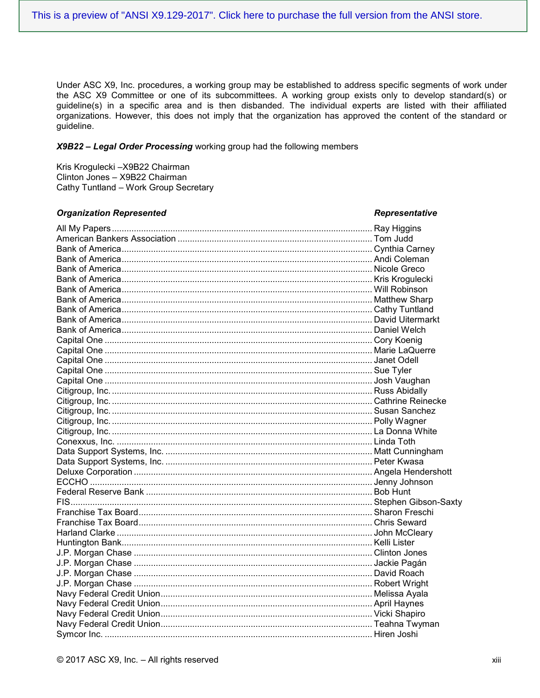Under ASC X9, Inc. procedures, a working group may be established to address specific segments of work under the ASC X9 Committee or one of its subcommittees. A working group exists only to develop standard(s) or guideline(s) in a specific area and is then disbanded. The individual experts are listed with their affiliated organizations. However, this does not imply that the organization has approved the content of the standard or guideline.

#### X9B22 - Legal Order Processing working group had the following members

Kris Krogulecki - X9B22 Chairman Clinton Jones - X9B22 Chairman Cathy Tuntland - Work Group Secretary

#### **Organization Represented**

#### Representative

| Symcor Inc. |  |
|-------------|--|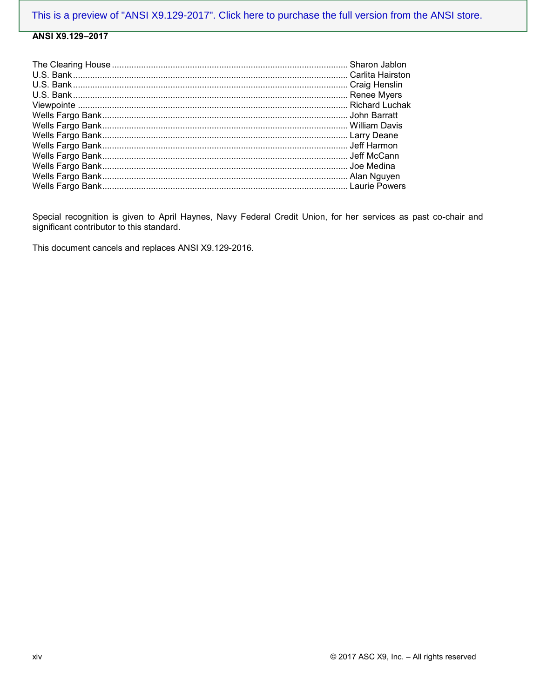#### **ANSI X9.129–2017**

Special recognition is given to April Haynes, Navy Federal Credit Union, for her services as past co-chair and significant contributor to this standard.

This document cancels and replaces ANSI X9.129-2016.